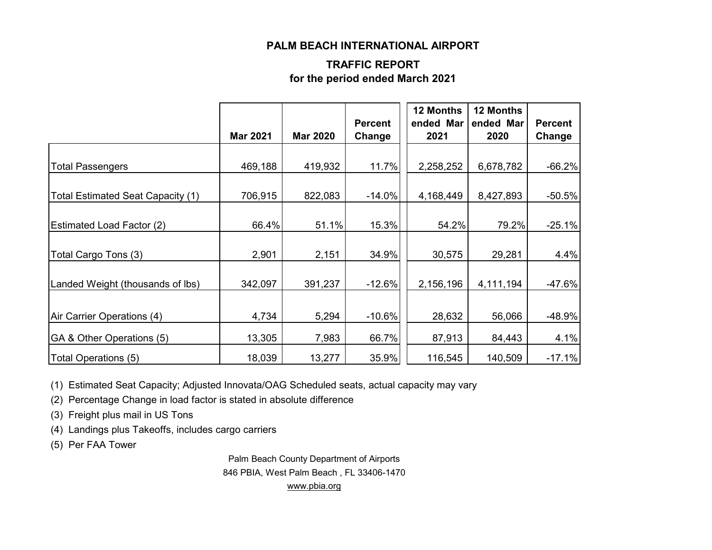### **PALM BEACH INTERNATIONAL AIRPORT**

## **TRAFFIC REPORT for the period ended March 2021**

|                                   |                 |                 | <b>Percent</b> | 12 Months<br>ended Mar | <b>12 Months</b><br>ended Mar | <b>Percent</b> |
|-----------------------------------|-----------------|-----------------|----------------|------------------------|-------------------------------|----------------|
|                                   | <b>Mar 2021</b> | <b>Mar 2020</b> | Change         | 2021                   | 2020                          | Change         |
| <b>Total Passengers</b>           | 469,188         | 419,932         | 11.7%          | 2,258,252              | 6,678,782                     | $-66.2%$       |
| Total Estimated Seat Capacity (1) | 706,915         | 822,083         | $-14.0%$       | 4,168,449              | 8,427,893                     | $-50.5%$       |
| <b>Estimated Load Factor (2)</b>  | 66.4%           | 51.1%           | 15.3%          | 54.2%                  | 79.2%                         | $-25.1%$       |
| Total Cargo Tons (3)              | 2,901           | 2,151           | 34.9%          | 30,575                 | 29,281                        | 4.4%           |
| Landed Weight (thousands of lbs)  | 342,097         | 391,237         | $-12.6%$       | 2,156,196              | 4,111,194                     | $-47.6%$       |
| Air Carrier Operations (4)        | 4,734           | 5,294           | $-10.6%$       | 28,632                 | 56,066                        | $-48.9%$       |
| GA & Other Operations (5)         | 13,305          | 7,983           | 66.7%          | 87,913                 | 84,443                        | 4.1%           |
| Total Operations (5)              | 18,039          | 13,277          | 35.9%          | 116,545                | 140,509                       | $-17.1%$       |

(1) Estimated Seat Capacity; Adjusted Innovata/OAG Scheduled seats, actual capacity may vary

(2) Percentage Change in load factor is stated in absolute difference

(3) Freight plus mail in US Tons

(4) Landings plus Takeoffs, includes cargo carriers

(5) Per FAA Tower

Palm Beach County Department of Airports 846 PBIA, West Palm Beach , FL 33406-1470 [www.pbia.org](http://www.pbia.org/)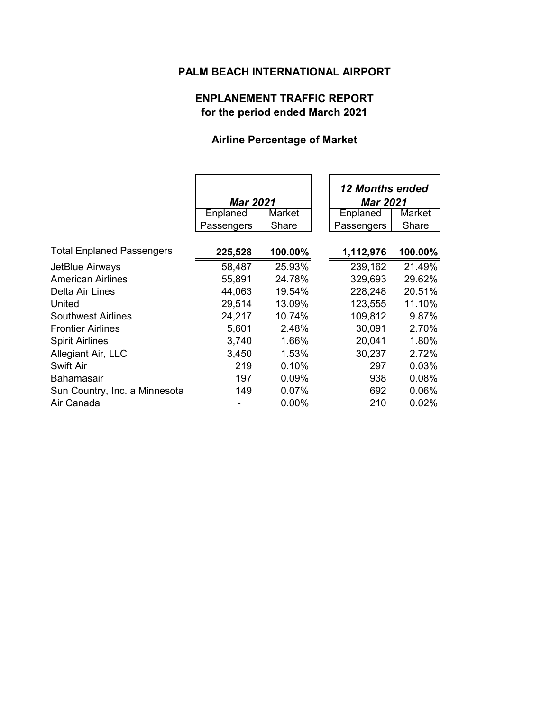# **PALM BEACH INTERNATIONAL AIRPORT**

## **ENPLANEMENT TRAFFIC REPORT for the period ended March 2021**

# **Airline Percentage of Market**

|                                  | <b>Mar 2021</b> |          | <b>12 Months ended</b><br><b>Mar 2021</b> |               |
|----------------------------------|-----------------|----------|-------------------------------------------|---------------|
|                                  | Enplaned        | Market   | Enplaned                                  | <b>Market</b> |
|                                  | Passengers      | Share    | Passengers                                | Share         |
|                                  |                 |          |                                           |               |
| <b>Total Enplaned Passengers</b> | 225,528         | 100.00%  | 1,112,976                                 | 100.00%       |
| JetBlue Airways                  | 58,487          | 25.93%   | 239,162                                   | 21.49%        |
| <b>American Airlines</b>         | 55,891          | 24.78%   | 329,693                                   | 29.62%        |
| Delta Air Lines                  | 44,063          | 19.54%   | 228,248                                   | 20.51%        |
| United                           | 29,514          | 13.09%   | 123,555                                   | 11.10%        |
| <b>Southwest Airlines</b>        | 24,217          | 10.74%   | 109,812                                   | 9.87%         |
| <b>Frontier Airlines</b>         | 5,601           | 2.48%    | 30,091                                    | 2.70%         |
| <b>Spirit Airlines</b>           | 3,740           | 1.66%    | 20,041                                    | 1.80%         |
| Allegiant Air, LLC               | 3,450           | 1.53%    | 30,237                                    | 2.72%         |
| <b>Swift Air</b>                 | 219             | 0.10%    | 297                                       | 0.03%         |
| <b>Bahamasair</b>                | 197             | $0.09\%$ | 938                                       | 0.08%         |
| Sun Country, Inc. a Minnesota    | 149             | $0.07\%$ | 692                                       | 0.06%         |
| Air Canada                       |                 | 0.00%    | 210                                       | 0.02%         |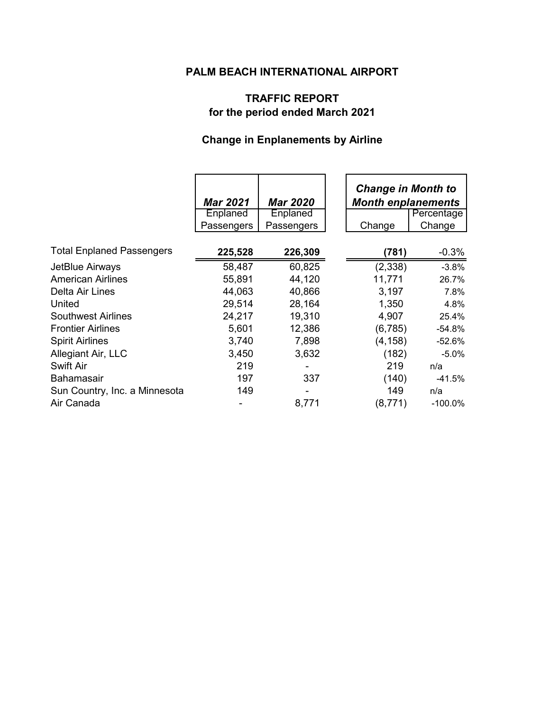# **PALM BEACH INTERNATIONAL AIRPORT**

## **TRAFFIC REPORT for the period ended March 2021**

# **Change in Enplanements by Airline**

|                                                                                                                                   | <b>Mar 2021</b><br>Enplaned<br>Passengers               | <b>Mar 2020</b><br><b>Enplaned</b><br>Passengers         | <b>Change in Month to</b><br><b>Month enplanements</b><br>Change | Percentage<br>Change                                      |
|-----------------------------------------------------------------------------------------------------------------------------------|---------------------------------------------------------|----------------------------------------------------------|------------------------------------------------------------------|-----------------------------------------------------------|
| <b>Total Enplaned Passengers</b>                                                                                                  | 225,528                                                 | 226,309                                                  | (781)                                                            | $-0.3%$                                                   |
| JetBlue Airways<br><b>American Airlines</b><br>Delta Air Lines<br>United<br><b>Southwest Airlines</b><br><b>Frontier Airlines</b> | 58,487<br>55,891<br>44,063<br>29,514<br>24,217<br>5,601 | 60,825<br>44,120<br>40,866<br>28,164<br>19,310<br>12,386 | (2,338)<br>11,771<br>3,197<br>1,350<br>4,907<br>(6,785)          | $-3.8%$<br>26.7%<br>7.8%<br>4.8%<br>25.4%<br>$-54.8%$     |
| <b>Spirit Airlines</b><br>Allegiant Air, LLC<br>Swift Air<br><b>Bahamasair</b><br>Sun Country, Inc. a Minnesota<br>Air Canada     | 3,740<br>3,450<br>219<br>197<br>149                     | 7,898<br>3,632<br>337<br>8,771                           | (4, 158)<br>(182)<br>219<br>(140)<br>149<br>(8, 771)             | $-52.6%$<br>$-5.0%$<br>n/a<br>-41.5%<br>n/a<br>$-100.0\%$ |